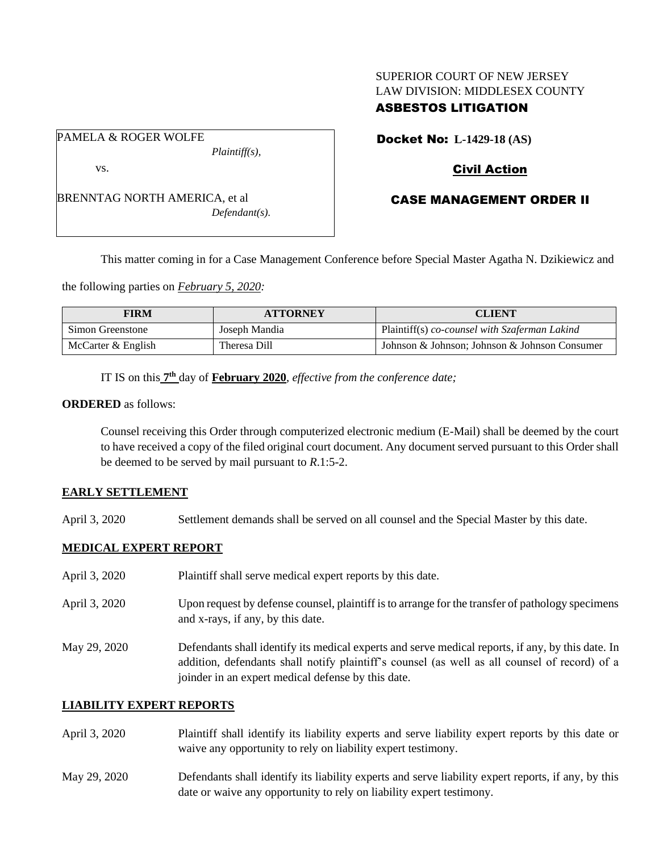# SUPERIOR COURT OF NEW JERSEY LAW DIVISION: MIDDLESEX COUNTY

# ASBESTOS LITIGATION

Docket No: **L-1429-18 (AS)** 

# Civil Action

# CASE MANAGEMENT ORDER II

BRENNTAG NORTH AMERICA, et al *Defendant(s).*

*Plaintiff(s),*

PAMELA & ROGER WOLFE

vs.

This matter coming in for a Case Management Conference before Special Master Agatha N. Dzikiewicz and

the following parties on *February 5, 2020:*

| <b>FIRM</b>          | <b>ATTORNEY</b> | <b>CLIENT</b>                                 |
|----------------------|-----------------|-----------------------------------------------|
| Simon Greenstone     | Joseph Mandia   | Plaintiff(s) co-counsel with Szaferman Lakind |
| McCarter $&$ English | Theresa Dill    | Johnson & Johnson: Johnson & Johnson Consumer |

IT IS on this  $7<sup>th</sup>$  day of **February 2020**, *effective from the conference date;* 

#### **ORDERED** as follows:

Counsel receiving this Order through computerized electronic medium (E-Mail) shall be deemed by the court to have received a copy of the filed original court document. Any document served pursuant to this Order shall be deemed to be served by mail pursuant to *R*.1:5-2.

#### **EARLY SETTLEMENT**

April 3, 2020 Settlement demands shall be served on all counsel and the Special Master by this date.

# **MEDICAL EXPERT REPORT**

| April 3, 2020 | Plaintiff shall serve medical expert reports by this date.                                                                                                                                                                                               |
|---------------|----------------------------------------------------------------------------------------------------------------------------------------------------------------------------------------------------------------------------------------------------------|
| April 3, 2020 | Upon request by defense counsel, plaintiff is to arrange for the transfer of pathology specimens<br>and x-rays, if any, by this date.                                                                                                                    |
| May 29, 2020  | Defendants shall identify its medical experts and serve medical reports, if any, by this date. In<br>addition, defendants shall notify plaintiff's counsel (as well as all counsel of record) of a<br>joinder in an expert medical defense by this date. |

# **LIABILITY EXPERT REPORTS**

- April 3, 2020 Plaintiff shall identify its liability experts and serve liability expert reports by this date or waive any opportunity to rely on liability expert testimony.
- May 29, 2020 Defendants shall identify its liability experts and serve liability expert reports, if any, by this date or waive any opportunity to rely on liability expert testimony.